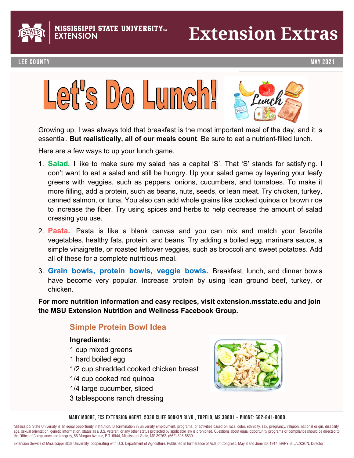

**PPI STATE UNIVERSITY<del>m</del>** 

### **Extension Extras**

#### Lee County May 2021





Growing up, I was always told that breakfast is the most important meal of the day, and it is essential. **But realistically, all of our meals count**. Be sure to eat a nutrient-filled lunch.

**•**

Here are a few ways to up your lunch game.

- 1. **Salad.** I like to make sure my salad has a capital 'S'. That 'S' stands for satisfying. I don't want to eat a salad and still be hungry. Up your salad game by layering your leafy greens with veggies, such as peppers, onions, cucumbers, and tomatoes. To make it more filling, add a protein, such as beans, nuts, seeds, or lean meat. Try chicken, turkey, canned salmon, or tuna. You also can add whole grains like cooked quinoa or brown rice to increase the fiber. Try using spices and herbs to help decrease the amount of salad dressing you use. canned salmon, or tuna. You also cannot grain add whole grains like cooked quinoa or brown rice cooked quinoa  $t_{\rm F}$  increases the fiber and here  $t_{\rm F}$  and  $\theta$  amount of salad decrease the amount of salad decrease the amount of salad decrease the amount of salad decrease the amount of salad decrease the amount of salad decr
- 2. Pasta. Pasta is like a blank canvas and you can mix and match your favorite vegetables, healthy fats, protein, and beans. Try adding a boiled egg, marinara sauce, a simple vinaigrette, or roasted leftover veggies, such as broccoli and sweet potatoes. Add all of these for a complete nutritious meal. Additionally contained the such as a broccoli and sweet potatoes. all of these for a complete nutritious meal.
- 3. **Grain bowls, protein bowls, veggie bowls.** Breakfast, lunch, and dinner bowls 3. **Grain bowls, protein bowls, veggie bowls.** Breakfast, lunch, and dinner bowls have become very popular. Increase protein by using lean ground beef, turkey, or have become very popular. Increase protein by using lean ground beef, turkey, or chicken. chicken.

**For more nutrition information and easy recipes, visit extension.msstate.edu and join For more nutrition information and easy recipes, visit extension.msstate.edu and join the MSU Extension Nutrition and Wellness Facebook Group. the MSU Extension Nutrition and Wellness Facebook Group.** 

#### **Simple Protein Bowl Idea**

#### **Simple Protein Bowl Idea Ingredients:**

- **Ingredients:**  1 cup mixed greens
- 1 hard boiled egg
	- 1/2 cup shredded cooked chicken breast
- 1/2 cup siliedded cooked c<br>1/4 cup cooked red quinoa
- 1/2 cup shredded cooked chicken breast 1/4 large cucumber, sliced
- 3 tablespoons ranch dressing



MARY MOORE, FCS EXTENSION AGENT, 5338 CLIFF GOOKIN BLVD., TUPELO, MS 38801 ~ PHONE: 662-841-9000<br>.

Mississippi State University is an equal opportunity institution. Discrimination in university employment, programs, or activities based on race, color, ethnicity, sex, pregnancy, religion, national origin, disability, age, sexual orientation, genetic information, status as a U.S. veteran, or any other status protected by applicable law is prohibited. Questions about equal opportunity programs or compliance should be directed to the Office of Compliance and Integrity, 56 Morgan Avenue, P.O. 6044, Mississippi State, MS 39762, (662) 325-5839.

Extension Service of Mississippi State University, cooperating with U.S. Department of Agriculture. Published in furtherance of Acts of Congress, May 8 and June 30, 1914. GARY B. JACKSON, Director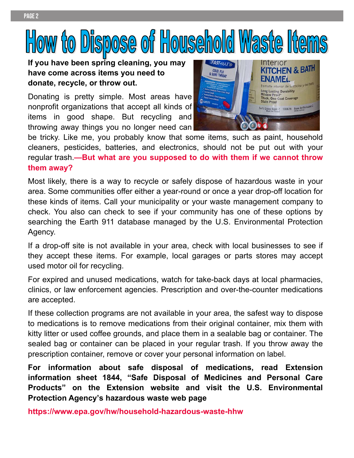# How to Dispose of Household Waste Item

**•**

#### **If you have been spring cleaning, you may have come across items you need to donate, recycle, or throw out.**

Donating is pretty simple. Most areas have nonprofit organizations that accept all kinds of items in good shape. But recycling and throwing away things you no longer need can



be tricky. Like me, you probably know that some items, such as paint, household cleaners, pesticides, batteries, and electronics, should not be put out with your regular trash.**—But what are you supposed to do with them if we cannot throw them away?**

Most likely, there is a way to recycle or safely dispose of hazardous waste in your area. Some communities offer either a year-round or once a year drop-off location for these kinds of items. Call your municipality or your waste management company to check. You also can check to see if your community has one of these options by searching the Earth 911 database managed by the U.S. Environmental Protection Agency.

If a drop-off site is not available in your area, check with local businesses to see if they accept these items. For example, local garages or parts stores may accept used motor oil for recycling.

For expired and unused medications, watch for take-back days at local pharmacies, clinics, or law enforcement agencies. Prescription and over-the-counter medications are accepted.

If these collection programs are not available in your area, the safest way to dispose to medications is to remove medications from their original container, mix them with kitty litter or used coffee grounds, and place them in a sealable bag or container. The sealed bag or container can be placed in your regular trash. If you throw away the prescription container, remove or cover your personal information on label.

**For information about safe disposal of medications, read Extension information sheet 1844, "Safe Disposal of Medicines and Personal Care Products" on the Extension website and visit the U.S. Environmental Protection Agency's hazardous waste web page** 

**https://www.epa.gov/hw/household-hazardous-waste-hhw**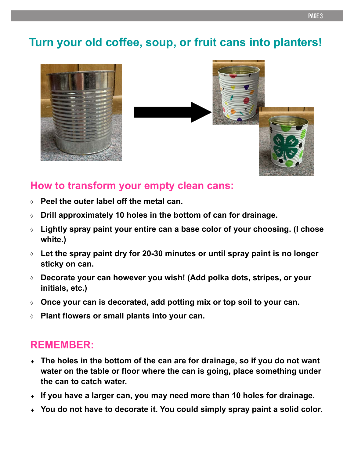#### **Turn your old coffee, soup, or fruit cans into planters!**





**•**

#### **How to transform your empty clean cans:**

- **Peel the outer label off the metal can.**
- **Drill approximately 10 holes in the bottom of can for drainage.**
- **Lightly spray paint your entire can a base color of your choosing. (I chose white.)**
- **Let the spray paint dry for 20-30 minutes or until spray paint is no longer sticky on can.**
- **Decorate your can however you wish! (Add polka dots, stripes, or your initials, etc.)**
- **Once your can is decorated, add potting mix or top soil to your can.**
- **Plant flowers or small plants into your can.**

#### **REMEMBER:**

- **The holes in the bottom of the can are for drainage, so if you do not want water on the table or floor where the can is going, place something under the can to catch water.**
- **If you have a larger can, you may need more than 10 holes for drainage.**
- **You do not have to decorate it. You could simply spray paint a solid color.**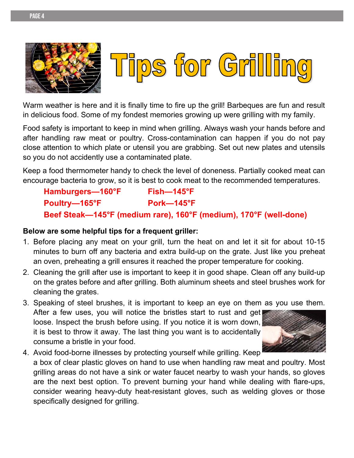



**•**

Warm weather is here and it is finally time to fire up the grill! Barbeques are fun and result in delicious food. Some of my fondest memories growing up were grilling with my family.

Food safety is important to keep in mind when grilling. Always wash your hands before and after handling raw meat or poultry. Cross-contamination can happen if you do not pay close attention to which plate or utensil you are grabbing. Set out new plates and utensils so you do not accidently use a contaminated plate.

Keep a food thermometer handy to check the level of doneness. Partially cooked meat can encourage bacteria to grow, so it is best to cook meat to the recommended temperatures.

Hamburgers-160°F Fish-145°F Poultry-165°F Pork-145°F **Beef Steak—145°F (medium rare), 160°F (medium), 170°F (well-done)** 

#### **Below are some helpful tips for a frequent griller:**

- 1. Before placing any meat on your grill, turn the heat on and let it sit for about 10-15 minutes to burn off any bacteria and extra build-up on the grate. Just like you preheat an oven, preheating a grill ensures it reached the proper temperature for cooking.
- 2. Cleaning the grill after use is important to keep it in good shape. Clean off any build-up on the grates before and after grilling. Both aluminum sheets and steel brushes work for cleaning the grates.
- 3. Speaking of steel brushes, it is important to keep an eye on them as you use them. After a few uses, you will notice the bristles start to rust and get! loose. Inspect the brush before using. If you notice it is worn down, it is best to throw it away. The last thing you want is to accidentally consume a bristle in your food.



4. Avoid food-borne illnesses by protecting yourself while grilling. Keep a box of clear plastic gloves on hand to use when handling raw meat and poultry. Most grilling areas do not have a sink or water faucet nearby to wash your hands, so gloves are the next best option. To prevent burning your hand while dealing with flare-ups, consider wearing heavy-duty heat-resistant gloves, such as welding gloves or those specifically designed for grilling.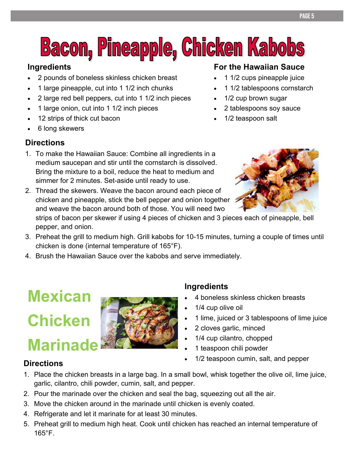## **Bacon, Pineapple, Chicken Kabobs**

**•**

#### **Ingredients**

- 2 pounds of boneless skinless chicken breast
- 1 large pineapple, cut into 1 1/2 inch chunks
- 2 large red bell peppers, cut into 1 1/2 inch pieces
- 1 large onion, cut into 1 1/2 inch pieces
- 12 strips of thick cut bacon
- 6 long skewers

#### **Directions**

- 1. To make the Hawaiian Sauce: Combine all ingredients in a medium saucepan and stir until the cornstarch is dissolved. Bring the mixture to a boil, reduce the heat to medium and simmer for 2 minutes. Set-aside until ready to use.
- 2. Thread the skewers. Weave the bacon around each piece of chicken and pineapple, stick the bell pepper and onion together and weave the bacon around both of those. You will need two

strips of bacon per skewer if using 4 pieces of chicken and 3 pieces each of pineapple, bell pepper, and onion.

- 3. Preheat the grill to medium high. Grill kabobs for 10-15 minutes, turning a couple of times until chicken is done (internal temperature of 165°F).
- 4. Brush the Hawaiian Sauce over the kabobs and serve immediately.

### **Mexican Chicken Marinade**



#### **Ingredients**

- 4 boneless skinless chicken breasts
- 1/4 cup olive oil
- 1 lime, juiced or 3 tablespoons of lime juice
- 2 cloves garlic, minced
- 1/4 cup cilantro, chopped
- 1 teaspoon chili powder
- 1/2 teaspoon cumin, salt, and pepper

#### **Directions**

- 1. Place the chicken breasts in a large bag. In a small bowl, whisk together the olive oil, lime juice, garlic, cilantro, chili powder, cumin, salt, and pepper.
- 2. Pour the marinade over the chicken and seal the bag, squeezing out all the air.
- 3. Move the chicken around in the marinade until chicken is evenly coated.
- 4. Refrigerate and let it marinate for at least 30 minutes.
- 5. Preheat grill to medium high heat. Cook until chicken has reached an internal temperature of 165°F.



**For the Hawaiian Sauce** 

• 1/2 cup brown sugar

1/2 teaspoon salt

• 2 tablespoons soy sauce

 1 1/2 cups pineapple juice • 1 1/2 tablespoons cornstarch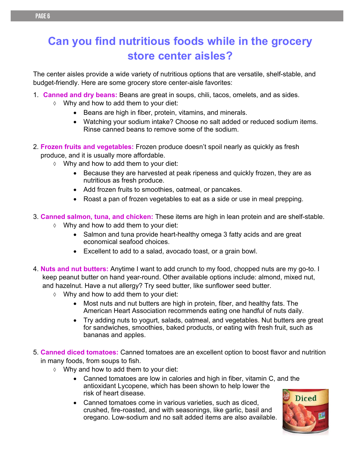**•**

The center aisles provide a wide variety of nutritious options that are versatile, shelf-stable, and budget-friendly. Here are some grocery store center-aisle favorites:

- 1. **Canned and dry beans:** Beans are great in soups, chili, tacos, omelets, and as sides.
	- $\Diamond$  Why and how to add them to your diet:
		- Beans are high in fiber, protein, vitamins, and minerals.
		- Watching your sodium intake? Choose no salt added or reduced sodium items. Rinse canned beans to remove some of the sodium.
- 2. **Frozen fruits and vegetables:** Frozen produce doesn't spoil nearly as quickly as fresh produce, and it is usually more affordable.
	- $\Diamond$  Why and how to add them to your diet:
		- Because they are harvested at peak ripeness and quickly frozen, they are as nutritious as fresh produce.
		- Add frozen fruits to smoothies, oatmeal, or pancakes.
		- Roast a pan of frozen vegetables to eat as a side or use in meal prepping.
- 3. **Canned salmon, tuna, and chicken:** These items are high in lean protein and are shelf-stable.
	- $\Diamond$  Why and how to add them to your diet:
		- Salmon and tuna provide heart-healthy omega 3 fatty acids and are great economical seafood choices.
		- Excellent to add to a salad, avocado toast, or a grain bowl.
- 4. **Nuts and nut butters:** Anytime I want to add crunch to my food, chopped nuts are my go-to. I keep peanut butter on hand year-round. Other available options include: almond, mixed nut, and hazelnut. Have a nut allergy? Try seed butter, like sunflower seed butter.
	- $\Diamond$  Why and how to add them to your diet:
		- Most nuts and nut butters are high in protein, fiber, and healthy fats. The American Heart Association recommends eating one handful of nuts daily.
		- Try adding nuts to yogurt, salads, oatmeal, and vegetables. Nut butters are great for sandwiches, smoothies, baked products, or eating with fresh fruit, such as bananas and apples.
- 5. **Canned diced tomatoes:** Canned tomatoes are an excellent option to boost flavor and nutrition in many foods, from soups to fish.
	- $\Diamond$  Why and how to add them to your diet:
		- Canned tomatoes are low in calories and high in fiber, vitamin C, and the antioxidant Lycopene, which has been shown to help lower the risk of heart disease.
		- Canned tomatoes come in various varieties, such as diced, crushed, fire-roasted, and with seasonings, like garlic, basil and oregano. Low-sodium and no salt added items are also available.

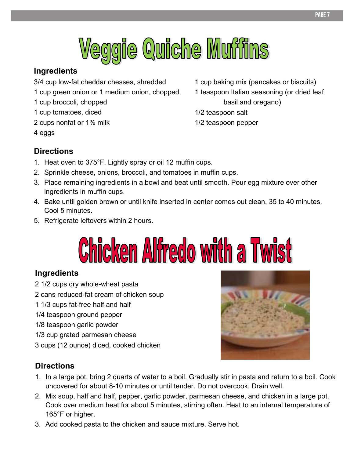

#### **Ingredients**

3/4 cup low-fat cheddar chesses, shredded

- 1 cup green onion or 1 medium onion, chopped
- 1 cup broccoli, chopped
- 1 cup tomatoes, diced
- 2 cups nonfat or 1% milk
- 4 eggs

1 cup baking mix (pancakes or biscuits)

- 1 teaspoon Italian seasoning (or dried leaf basil and oregano)
- 1/2 teaspoon salt

**•**

1/2 teaspoon pepper

#### **Directions**

- 1. Heat oven to 375°F. Lightly spray or oil 12 muffin cups.
- 2. Sprinkle cheese, onions, broccoli, and tomatoes in muffin cups.
- 3. Place remaining ingredients in a bowl and beat until smooth. Pour egg mixture over other ingredients in muffin cups.
- 4. Bake until golden brown or until knife inserted in center comes out clean, 35 to 40 minutes. Cool 5 minutes.
- 5. Refrigerate leftovers within 2 hours.

# **Chicken Alfredo with a Twist**

#### **Ingredients**

2 1/2 cups dry whole-wheat pasta

- 2 cans reduced-fat cream of chicken soup
- 1 1/3 cups fat-free half and half
- 1/4 teaspoon ground pepper
- 1/8 teaspoon garlic powder
- 1/3 cup grated parmesan cheese
- 3 cups (12 ounce) diced, cooked chicken



#### **Directions**

- 1. In a large pot, bring 2 quarts of water to a boil. Gradually stir in pasta and return to a boil. Cook uncovered for about 8-10 minutes or until tender. Do not overcook. Drain well.
- 2. Mix soup, half and half, pepper, garlic powder, parmesan cheese, and chicken in a large pot. Cook over medium heat for about 5 minutes, stirring often. Heat to an internal temperature of 165°F or higher.
- 3. Add cooked pasta to the chicken and sauce mixture. Serve hot.